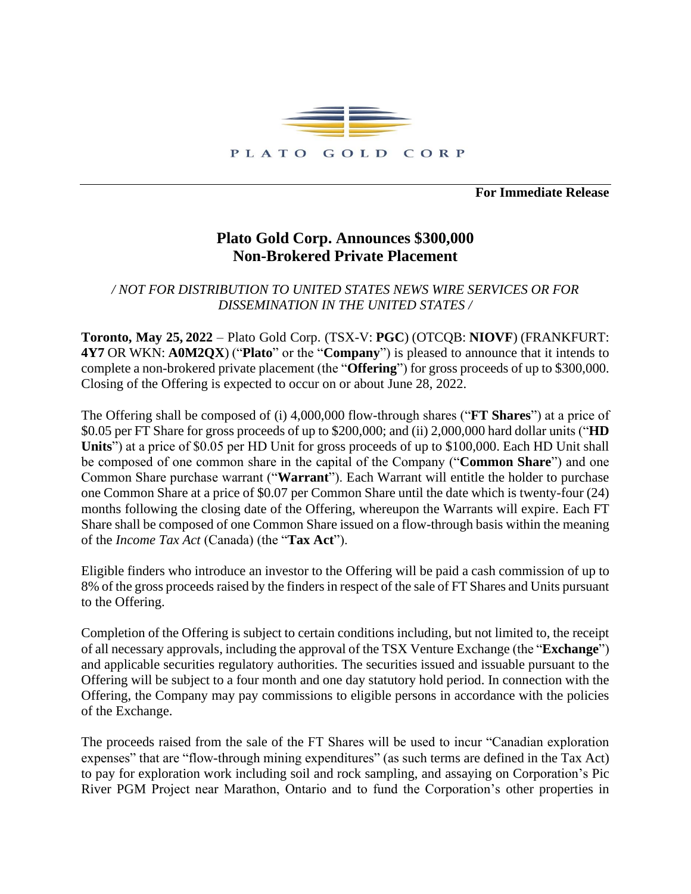

**For Immediate Release**

## **Plato Gold Corp. Announces \$300,000 Non-Brokered Private Placement**

*/ NOT FOR DISTRIBUTION TO UNITED STATES NEWS WIRE SERVICES OR FOR DISSEMINATION IN THE UNITED STATES /*

**Toronto, May 25, 2022** – Plato Gold Corp. (TSX-V: **PGC**) (OTCQB: **NIOVF**) (FRANKFURT: **4Y7** OR WKN: **A0M2QX**) ("**Plato**" or the "**Company**") is pleased to announce that it intends to complete a non-brokered private placement (the "**Offering**") for gross proceeds of up to \$300,000. Closing of the Offering is expected to occur on or about June 28, 2022.

The Offering shall be composed of (i) 4,000,000 flow-through shares ("**FT Shares**") at a price of \$0.05 per FT Share for gross proceeds of up to \$200,000; and (ii) 2,000,000 hard dollar units ("**HD Units**") at a price of \$0.05 per HD Unit for gross proceeds of up to \$100,000. Each HD Unit shall be composed of one common share in the capital of the Company ("**Common Share**") and one Common Share purchase warrant ("**Warrant**"). Each Warrant will entitle the holder to purchase one Common Share at a price of \$0.07 per Common Share until the date which is twenty-four (24) months following the closing date of the Offering, whereupon the Warrants will expire. Each FT Share shall be composed of one Common Share issued on a flow-through basis within the meaning of the *Income Tax Act* (Canada) (the "**Tax Act**").

Eligible finders who introduce an investor to the Offering will be paid a cash commission of up to 8% of the gross proceeds raised by the finders in respect of the sale of FT Shares and Units pursuant to the Offering.

Completion of the Offering is subject to certain conditions including, but not limited to, the receipt of all necessary approvals, including the approval of the TSX Venture Exchange (the "**Exchange**") and applicable securities regulatory authorities. The securities issued and issuable pursuant to the Offering will be subject to a four month and one day statutory hold period. In connection with the Offering, the Company may pay commissions to eligible persons in accordance with the policies of the Exchange.

The proceeds raised from the sale of the FT Shares will be used to incur "Canadian exploration expenses" that are "flow-through mining expenditures" (as such terms are defined in the Tax Act) to pay for exploration work including soil and rock sampling, and assaying on Corporation's Pic River PGM Project near Marathon, Ontario and to fund the Corporation's other properties in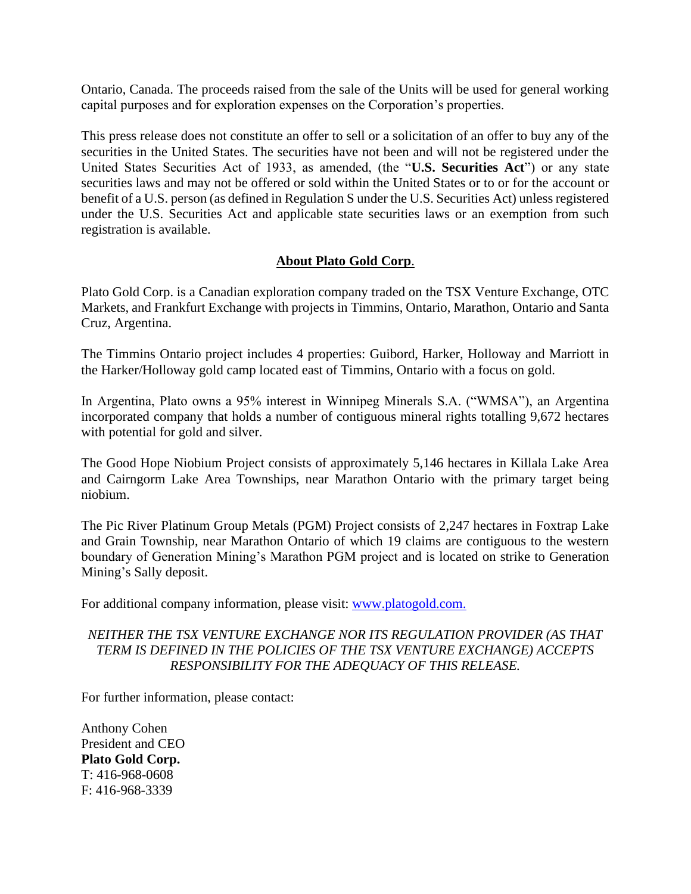Ontario, Canada. The proceeds raised from the sale of the Units will be used for general working capital purposes and for exploration expenses on the Corporation's properties.

This press release does not constitute an offer to sell or a solicitation of an offer to buy any of the securities in the United States. The securities have not been and will not be registered under the United States Securities Act of 1933, as amended, (the "**U.S. Securities Act**") or any state securities laws and may not be offered or sold within the United States or to or for the account or benefit of a U.S. person (as defined in Regulation S under the U.S. Securities Act) unless registered under the U.S. Securities Act and applicable state securities laws or an exemption from such registration is available.

## **About Plato Gold Corp**.

Plato Gold Corp. is a Canadian exploration company traded on the TSX Venture Exchange, OTC Markets, and Frankfurt Exchange with projects in Timmins, Ontario, Marathon, Ontario and Santa Cruz, Argentina.

The Timmins Ontario project includes 4 properties: Guibord, Harker, Holloway and Marriott in the Harker/Holloway gold camp located east of Timmins, Ontario with a focus on gold.

In Argentina, Plato owns a 95% interest in Winnipeg Minerals S.A. ("WMSA"), an Argentina incorporated company that holds a number of contiguous mineral rights totalling 9,672 hectares with potential for gold and silver.

The Good Hope Niobium Project consists of approximately 5,146 hectares in Killala Lake Area and Cairngorm Lake Area Townships, near Marathon Ontario with the primary target being niobium.

The Pic River Platinum Group Metals (PGM) Project consists of 2,247 hectares in Foxtrap Lake and Grain Township, near Marathon Ontario of which 19 claims are contiguous to the western boundary of Generation Mining's Marathon PGM project and is located on strike to Generation Mining's Sally deposit.

For additional company information, please visit: [www.platogold.com.](http://www.platogold.com/)

## *NEITHER THE TSX VENTURE EXCHANGE NOR ITS REGULATION PROVIDER (AS THAT TERM IS DEFINED IN THE POLICIES OF THE TSX VENTURE EXCHANGE) ACCEPTS RESPONSIBILITY FOR THE ADEQUACY OF THIS RELEASE.*

For further information, please contact:

Anthony Cohen President and CEO **Plato Gold Corp.** T: 416-968-0608 F: 416-968-3339